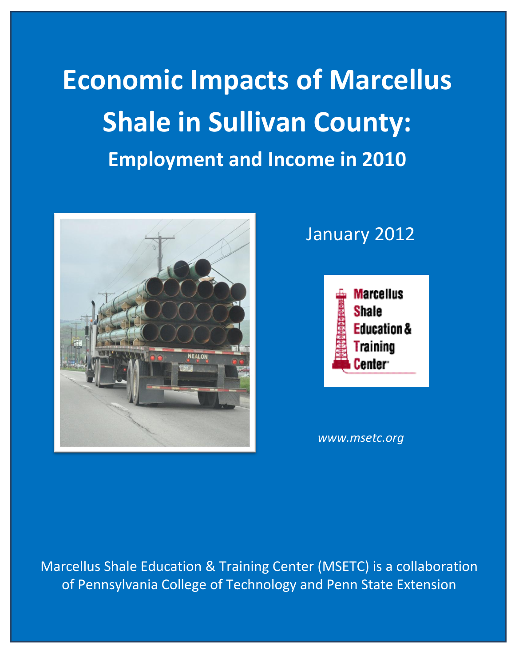**Economic Impacts of Marcellus Shale in Sullivan County: Employment and Income in 2010**



## January 2012



*www.msetc.org*

Marcellus Shale Education & Training Center (MSETC) is a collaboration of Pennsylvania College of Technology and Penn State Extension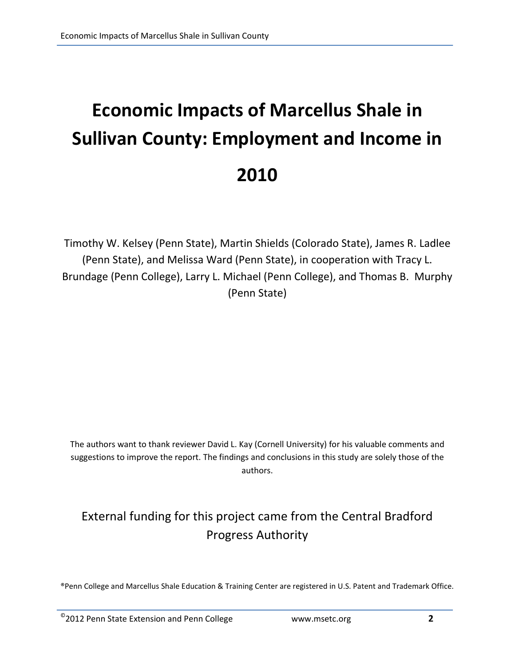# **Economic Impacts of Marcellus Shale in Sullivan County: Employment and Income in 2010**

Timothy W. Kelsey (Penn State), Martin Shields (Colorado State), James R. Ladlee (Penn State), and Melissa Ward (Penn State), in cooperation with Tracy L. Brundage (Penn College), Larry L. Michael (Penn College), and Thomas B. Murphy (Penn State)

The authors want to thank reviewer David L. Kay (Cornell University) for his valuable comments and suggestions to improve the report. The findings and conclusions in this study are solely those of the authors.

### External funding for this project came from the Central Bradford Progress Authority

®Penn College and Marcellus Shale Education & Training Center are registered in U.S. Patent and Trademark Office.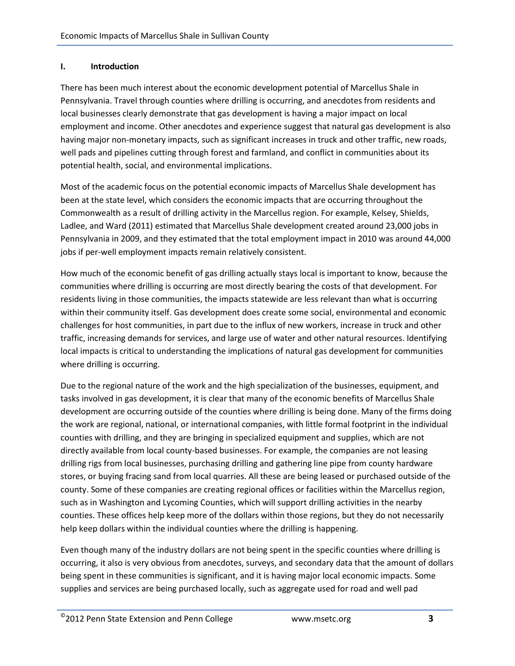#### **I. Introduction**

There has been much interest about the economic development potential of Marcellus Shale in Pennsylvania. Travel through counties where drilling is occurring, and anecdotes from residents and local businesses clearly demonstrate that gas development is having a major impact on local employment and income. Other anecdotes and experience suggest that natural gas development is also having major non-monetary impacts, such as significant increases in truck and other traffic, new roads, well pads and pipelines cutting through forest and farmland, and conflict in communities about its potential health, social, and environmental implications.

Most of the academic focus on the potential economic impacts of Marcellus Shale development has been at the state level, which considers the economic impacts that are occurring throughout the Commonwealth as a result of drilling activity in the Marcellus region. For example, Kelsey, Shields, Ladlee, and Ward (2011) estimated that Marcellus Shale development created around 23,000 jobs in Pennsylvania in 2009, and they estimated that the total employment impact in 2010 was around 44,000 jobs if per-well employment impacts remain relatively consistent.

How much of the economic benefit of gas drilling actually stays local is important to know, because the communities where drilling is occurring are most directly bearing the costs of that development. For residents living in those communities, the impacts statewide are less relevant than what is occurring within their community itself. Gas development does create some social, environmental and economic challenges for host communities, in part due to the influx of new workers, increase in truck and other traffic, increasing demands for services, and large use of water and other natural resources. Identifying local impacts is critical to understanding the implications of natural gas development for communities where drilling is occurring.

Due to the regional nature of the work and the high specialization of the businesses, equipment, and tasks involved in gas development, it is clear that many of the economic benefits of Marcellus Shale development are occurring outside of the counties where drilling is being done. Many of the firms doing the work are regional, national, or international companies, with little formal footprint in the individual counties with drilling, and they are bringing in specialized equipment and supplies, which are not directly available from local county-based businesses. For example, the companies are not leasing drilling rigs from local businesses, purchasing drilling and gathering line pipe from county hardware stores, or buying fracing sand from local quarries. All these are being leased or purchased outside of the county. Some of these companies are creating regional offices or facilities within the Marcellus region, such as in Washington and Lycoming Counties, which will support drilling activities in the nearby counties. These offices help keep more of the dollars within those regions, but they do not necessarily help keep dollars within the individual counties where the drilling is happening.

Even though many of the industry dollars are not being spent in the specific counties where drilling is occurring, it also is very obvious from anecdotes, surveys, and secondary data that the amount of dollars being spent in these communities is significant, and it is having major local economic impacts. Some supplies and services are being purchased locally, such as aggregate used for road and well pad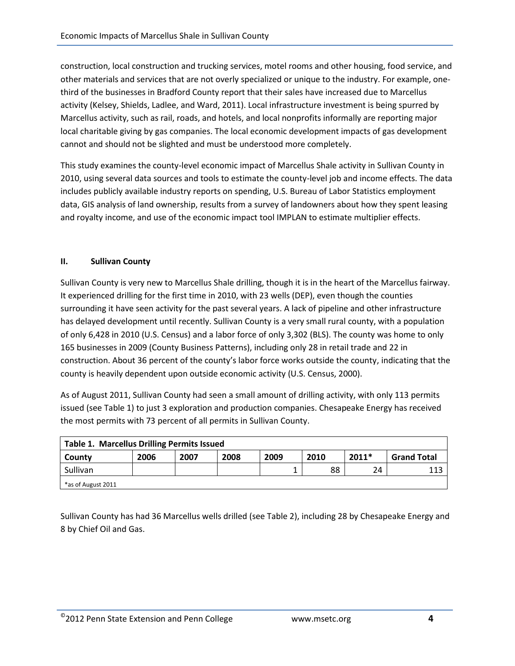construction, local construction and trucking services, motel rooms and other housing, food service, and other materials and services that are not overly specialized or unique to the industry. For example, onethird of the businesses in Bradford County report that their sales have increased due to Marcellus activity (Kelsey, Shields, Ladlee, and Ward, 2011). Local infrastructure investment is being spurred by Marcellus activity, such as rail, roads, and hotels, and local nonprofits informally are reporting major local charitable giving by gas companies. The local economic development impacts of gas development cannot and should not be slighted and must be understood more completely.

This study examines the county-level economic impact of Marcellus Shale activity in Sullivan County in 2010, using several data sources and tools to estimate the county-level job and income effects. The data includes publicly available industry reports on spending, U.S. Bureau of Labor Statistics employment data, GIS analysis of land ownership, results from a survey of landowners about how they spent leasing and royalty income, and use of the economic impact tool IMPLAN to estimate multiplier effects.

#### **II. Sullivan County**

Sullivan County is very new to Marcellus Shale drilling, though it is in the heart of the Marcellus fairway. It experienced drilling for the first time in 2010, with 23 wells (DEP), even though the counties surrounding it have seen activity for the past several years. A lack of pipeline and other infrastructure has delayed development until recently. Sullivan County is a very small rural county, with a population of only 6,428 in 2010 (U.S. Census) and a labor force of only 3,302 (BLS). The county was home to only 165 businesses in 2009 (County Business Patterns), including only 28 in retail trade and 22 in construction. About 36 percent of the county's labor force works outside the county, indicating that the county is heavily dependent upon outside economic activity (U.S. Census, 2000).

As of August 2011, Sullivan County had seen a small amount of drilling activity, with only 113 permits issued (see Table 1) to just 3 exploration and production companies. Chesapeake Energy has received the most permits with 73 percent of all permits in Sullivan County.

| Table 1. Marcellus Drilling Permits Issued |      |      |      |      |      |         |                    |
|--------------------------------------------|------|------|------|------|------|---------|--------------------|
| County                                     | 2006 | 2007 | 2008 | 2009 | 2010 | $2011*$ | <b>Grand Total</b> |
| Sullivan                                   |      |      |      |      | 88   | 24      | 113                |
| *as of August 2011                         |      |      |      |      |      |         |                    |

Sullivan County has had 36 Marcellus wells drilled (see Table 2), including 28 by Chesapeake Energy and 8 by Chief Oil and Gas.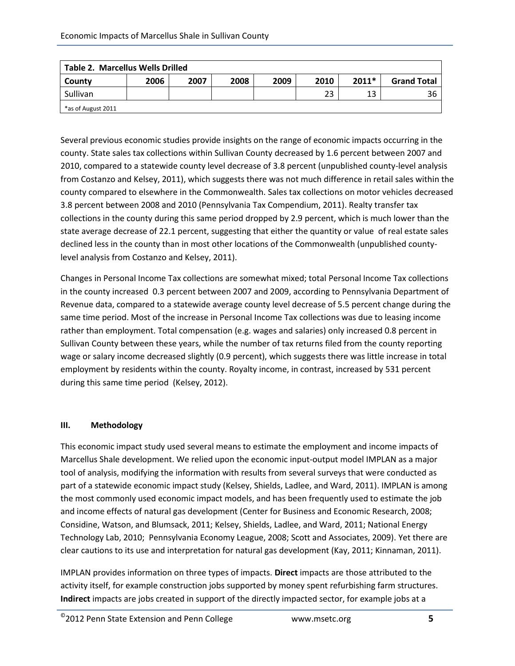| <b>Table 2. Marcellus Wells Drilled</b> |      |      |      |      |      |         |                    |
|-----------------------------------------|------|------|------|------|------|---------|--------------------|
| County                                  | 2006 | 2007 | 2008 | 2009 | 2010 | $2011*$ | <b>Grand Total</b> |
| Sullivan                                |      |      |      |      | 23   | 13      | 36                 |
| *as of August 2011                      |      |      |      |      |      |         |                    |

Several previous economic studies provide insights on the range of economic impacts occurring in the county. State sales tax collections within Sullivan County decreased by 1.6 percent between 2007 and 2010, compared to a statewide county level decrease of 3.8 percent (unpublished county-level analysis from Costanzo and Kelsey, 2011), which suggests there was not much difference in retail sales within the county compared to elsewhere in the Commonwealth. Sales tax collections on motor vehicles decreased 3.8 percent between 2008 and 2010 (Pennsylvania Tax Compendium, 2011). Realty transfer tax collections in the county during this same period dropped by 2.9 percent, which is much lower than the state average decrease of 22.1 percent, suggesting that either the quantity or value of real estate sales declined less in the county than in most other locations of the Commonwealth (unpublished countylevel analysis from Costanzo and Kelsey, 2011).

Changes in Personal Income Tax collections are somewhat mixed; total Personal Income Tax collections in the county increased 0.3 percent between 2007 and 2009, according to Pennsylvania Department of Revenue data, compared to a statewide average county level decrease of 5.5 percent change during the same time period. Most of the increase in Personal Income Tax collections was due to leasing income rather than employment. Total compensation (e.g. wages and salaries) only increased 0.8 percent in Sullivan County between these years, while the number of tax returns filed from the county reporting wage or salary income decreased slightly (0.9 percent), which suggests there was little increase in total employment by residents within the county. Royalty income, in contrast, increased by 531 percent during this same time period (Kelsey, 2012).

#### **III. Methodology**

This economic impact study used several means to estimate the employment and income impacts of Marcellus Shale development. We relied upon the economic input-output model IMPLAN as a major tool of analysis, modifying the information with results from several surveys that were conducted as part of a statewide economic impact study (Kelsey, Shields, Ladlee, and Ward, 2011). IMPLAN is among the most commonly used economic impact models, and has been frequently used to estimate the job and income effects of natural gas development (Center for Business and Economic Research, 2008; Considine, Watson, and Blumsack, 2011; Kelsey, Shields, Ladlee, and Ward, 2011; National Energy Technology Lab, 2010; Pennsylvania Economy League, 2008; Scott and Associates, 2009). Yet there are clear cautions to its use and interpretation for natural gas development (Kay, 2011; Kinnaman, 2011).

IMPLAN provides information on three types of impacts. **Direct** impacts are those attributed to the activity itself, for example construction jobs supported by money spent refurbishing farm structures. **Indirect** impacts are jobs created in support of the directly impacted sector, for example jobs at a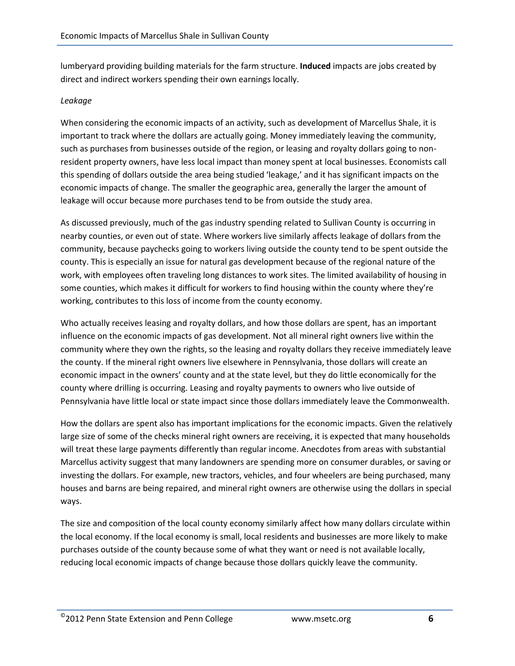lumberyard providing building materials for the farm structure. **Induced** impacts are jobs created by direct and indirect workers spending their own earnings locally.

#### *Leakage*

When considering the economic impacts of an activity, such as development of Marcellus Shale, it is important to track where the dollars are actually going. Money immediately leaving the community, such as purchases from businesses outside of the region, or leasing and royalty dollars going to nonresident property owners, have less local impact than money spent at local businesses. Economists call this spending of dollars outside the area being studied 'leakage,' and it has significant impacts on the economic impacts of change. The smaller the geographic area, generally the larger the amount of leakage will occur because more purchases tend to be from outside the study area.

As discussed previously, much of the gas industry spending related to Sullivan County is occurring in nearby counties, or even out of state. Where workers live similarly affects leakage of dollars from the community, because paychecks going to workers living outside the county tend to be spent outside the county. This is especially an issue for natural gas development because of the regional nature of the work, with employees often traveling long distances to work sites. The limited availability of housing in some counties, which makes it difficult for workers to find housing within the county where they're working, contributes to this loss of income from the county economy.

Who actually receives leasing and royalty dollars, and how those dollars are spent, has an important influence on the economic impacts of gas development. Not all mineral right owners live within the community where they own the rights, so the leasing and royalty dollars they receive immediately leave the county. If the mineral right owners live elsewhere in Pennsylvania, those dollars will create an economic impact in the owners' county and at the state level, but they do little economically for the county where drilling is occurring. Leasing and royalty payments to owners who live outside of Pennsylvania have little local or state impact since those dollars immediately leave the Commonwealth.

How the dollars are spent also has important implications for the economic impacts. Given the relatively large size of some of the checks mineral right owners are receiving, it is expected that many households will treat these large payments differently than regular income. Anecdotes from areas with substantial Marcellus activity suggest that many landowners are spending more on consumer durables, or saving or investing the dollars. For example, new tractors, vehicles, and four wheelers are being purchased, many houses and barns are being repaired, and mineral right owners are otherwise using the dollars in special ways.

The size and composition of the local county economy similarly affect how many dollars circulate within the local economy. If the local economy is small, local residents and businesses are more likely to make purchases outside of the county because some of what they want or need is not available locally, reducing local economic impacts of change because those dollars quickly leave the community.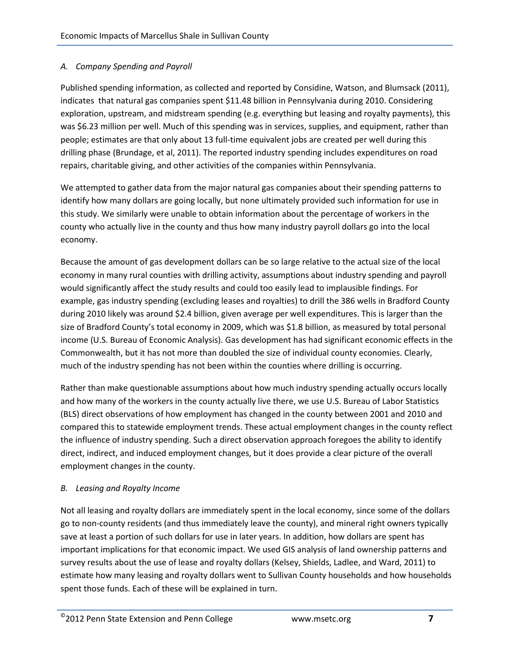#### *A. Company Spending and Payroll*

Published spending information, as collected and reported by Considine, Watson, and Blumsack (2011), indicates that natural gas companies spent \$11.48 billion in Pennsylvania during 2010. Considering exploration, upstream, and midstream spending (e.g. everything but leasing and royalty payments), this was \$6.23 million per well. Much of this spending was in services, supplies, and equipment, rather than people; estimates are that only about 13 full-time equivalent jobs are created per well during this drilling phase (Brundage, et al, 2011). The reported industry spending includes expenditures on road repairs, charitable giving, and other activities of the companies within Pennsylvania.

We attempted to gather data from the major natural gas companies about their spending patterns to identify how many dollars are going locally, but none ultimately provided such information for use in this study. We similarly were unable to obtain information about the percentage of workers in the county who actually live in the county and thus how many industry payroll dollars go into the local economy.

Because the amount of gas development dollars can be so large relative to the actual size of the local economy in many rural counties with drilling activity, assumptions about industry spending and payroll would significantly affect the study results and could too easily lead to implausible findings. For example, gas industry spending (excluding leases and royalties) to drill the 386 wells in Bradford County during 2010 likely was around \$2.4 billion, given average per well expenditures. This is larger than the size of Bradford County's total economy in 2009, which was \$1.8 billion, as measured by total personal income (U.S. Bureau of Economic Analysis). Gas development has had significant economic effects in the Commonwealth, but it has not more than doubled the size of individual county economies. Clearly, much of the industry spending has not been within the counties where drilling is occurring.

Rather than make questionable assumptions about how much industry spending actually occurs locally and how many of the workers in the county actually live there, we use U.S. Bureau of Labor Statistics (BLS) direct observations of how employment has changed in the county between 2001 and 2010 and compared this to statewide employment trends. These actual employment changes in the county reflect the influence of industry spending. Such a direct observation approach foregoes the ability to identify direct, indirect, and induced employment changes, but it does provide a clear picture of the overall employment changes in the county.

#### *B. Leasing and Royalty Income*

Not all leasing and royalty dollars are immediately spent in the local economy, since some of the dollars go to non-county residents (and thus immediately leave the county), and mineral right owners typically save at least a portion of such dollars for use in later years. In addition, how dollars are spent has important implications for that economic impact. We used GIS analysis of land ownership patterns and survey results about the use of lease and royalty dollars (Kelsey, Shields, Ladlee, and Ward, 2011) to estimate how many leasing and royalty dollars went to Sullivan County households and how households spent those funds. Each of these will be explained in turn.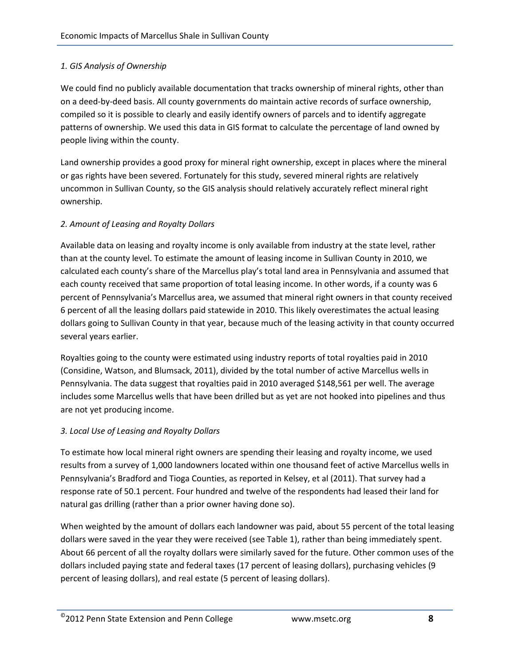#### *1. GIS Analysis of Ownership*

We could find no publicly available documentation that tracks ownership of mineral rights, other than on a deed-by-deed basis. All county governments do maintain active records of surface ownership, compiled so it is possible to clearly and easily identify owners of parcels and to identify aggregate patterns of ownership. We used this data in GIS format to calculate the percentage of land owned by people living within the county.

Land ownership provides a good proxy for mineral right ownership, except in places where the mineral or gas rights have been severed. Fortunately for this study, severed mineral rights are relatively uncommon in Sullivan County, so the GIS analysis should relatively accurately reflect mineral right ownership.

#### *2. Amount of Leasing and Royalty Dollars*

Available data on leasing and royalty income is only available from industry at the state level, rather than at the county level. To estimate the amount of leasing income in Sullivan County in 2010, we calculated each county's share of the Marcellus play's total land area in Pennsylvania and assumed that each county received that same proportion of total leasing income. In other words, if a county was 6 percent of Pennsylvania's Marcellus area, we assumed that mineral right owners in that county received 6 percent of all the leasing dollars paid statewide in 2010. This likely overestimates the actual leasing dollars going to Sullivan County in that year, because much of the leasing activity in that county occurred several years earlier.

Royalties going to the county were estimated using industry reports of total royalties paid in 2010 (Considine, Watson, and Blumsack, 2011), divided by the total number of active Marcellus wells in Pennsylvania. The data suggest that royalties paid in 2010 averaged \$148,561 per well. The average includes some Marcellus wells that have been drilled but as yet are not hooked into pipelines and thus are not yet producing income.

#### *3. Local Use of Leasing and Royalty Dollars*

To estimate how local mineral right owners are spending their leasing and royalty income, we used results from a survey of 1,000 landowners located within one thousand feet of active Marcellus wells in Pennsylvania's Bradford and Tioga Counties, as reported in Kelsey, et al (2011). That survey had a response rate of 50.1 percent. Four hundred and twelve of the respondents had leased their land for natural gas drilling (rather than a prior owner having done so).

When weighted by the amount of dollars each landowner was paid, about 55 percent of the total leasing dollars were saved in the year they were received (see Table 1), rather than being immediately spent. About 66 percent of all the royalty dollars were similarly saved for the future. Other common uses of the dollars included paying state and federal taxes (17 percent of leasing dollars), purchasing vehicles (9 percent of leasing dollars), and real estate (5 percent of leasing dollars).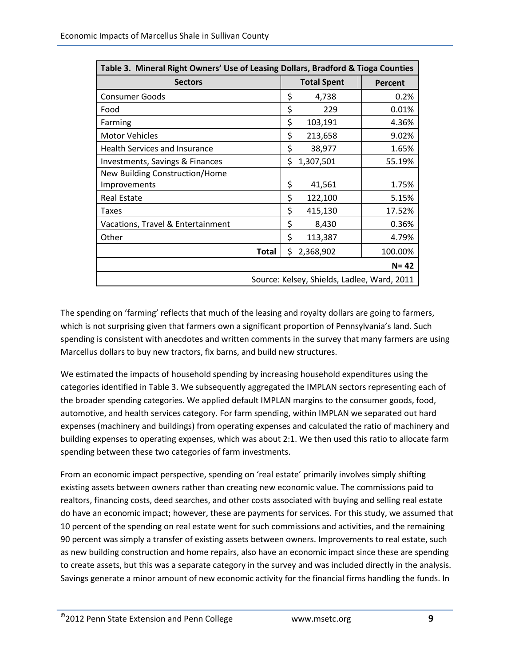| Table 3. Mineral Right Owners' Use of Leasing Dollars, Bradford & Tioga Counties |                                             |                    |          |  |  |
|----------------------------------------------------------------------------------|---------------------------------------------|--------------------|----------|--|--|
| <b>Sectors</b>                                                                   |                                             | <b>Total Spent</b> | Percent  |  |  |
| <b>Consumer Goods</b>                                                            | \$                                          | 4,738              | 0.2%     |  |  |
| Food                                                                             | \$                                          | 229                | 0.01%    |  |  |
| Farming                                                                          | \$                                          | 103,191            | 4.36%    |  |  |
| <b>Motor Vehicles</b>                                                            | \$                                          | 213,658            | 9.02%    |  |  |
| <b>Health Services and Insurance</b>                                             | \$                                          | 38,977             | 1.65%    |  |  |
| Investments, Savings & Finances                                                  | \$                                          | 1,307,501          | 55.19%   |  |  |
| New Building Construction/Home                                                   |                                             |                    |          |  |  |
| Improvements                                                                     | \$                                          | 41,561             | 1.75%    |  |  |
| <b>Real Estate</b>                                                               | \$                                          | 122,100            | 5.15%    |  |  |
| Taxes                                                                            | \$                                          | 415,130            | 17.52%   |  |  |
| Vacations, Travel & Entertainment                                                | \$                                          | 8,430              | 0.36%    |  |  |
| Other                                                                            | \$                                          | 113,387            | 4.79%    |  |  |
| <b>Total</b>                                                                     | \$                                          | 2,368,902          | 100.00%  |  |  |
|                                                                                  |                                             |                    | $N = 42$ |  |  |
|                                                                                  | Source: Kelsey, Shields, Ladlee, Ward, 2011 |                    |          |  |  |

The spending on 'farming' reflects that much of the leasing and royalty dollars are going to farmers, which is not surprising given that farmers own a significant proportion of Pennsylvania's land. Such spending is consistent with anecdotes and written comments in the survey that many farmers are using Marcellus dollars to buy new tractors, fix barns, and build new structures.

We estimated the impacts of household spending by increasing household expenditures using the categories identified in Table 3. We subsequently aggregated the IMPLAN sectors representing each of the broader spending categories. We applied default IMPLAN margins to the consumer goods, food, automotive, and health services category. For farm spending, within IMPLAN we separated out hard expenses (machinery and buildings) from operating expenses and calculated the ratio of machinery and building expenses to operating expenses, which was about 2:1. We then used this ratio to allocate farm spending between these two categories of farm investments.

From an economic impact perspective, spending on 'real estate' primarily involves simply shifting existing assets between owners rather than creating new economic value. The commissions paid to realtors, financing costs, deed searches, and other costs associated with buying and selling real estate do have an economic impact; however, these are payments for services. For this study, we assumed that 10 percent of the spending on real estate went for such commissions and activities, and the remaining 90 percent was simply a transfer of existing assets between owners. Improvements to real estate, such as new building construction and home repairs, also have an economic impact since these are spending to create assets, but this was a separate category in the survey and was included directly in the analysis. Savings generate a minor amount of new economic activity for the financial firms handling the funds. In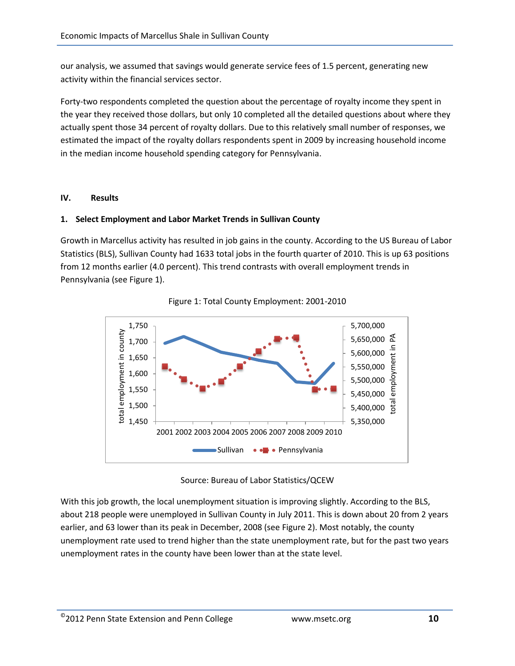our analysis, we assumed that savings would generate service fees of 1.5 percent, generating new activity within the financial services sector.

Forty-two respondents completed the question about the percentage of royalty income they spent in the year they received those dollars, but only 10 completed all the detailed questions about where they actually spent those 34 percent of royalty dollars. Due to this relatively small number of responses, we estimated the impact of the royalty dollars respondents spent in 2009 by increasing household income in the median income household spending category for Pennsylvania.

#### **IV. Results**

#### **1. Select Employment and Labor Market Trends in Sullivan County**

Growth in Marcellus activity has resulted in job gains in the county. According to the US Bureau of Labor Statistics (BLS), Sullivan County had 1633 total jobs in the fourth quarter of 2010. This is up 63 positions from 12 months earlier (4.0 percent). This trend contrasts with overall employment trends in Pennsylvania (see Figure 1).





Source: Bureau of Labor Statistics/QCEW

With this job growth, the local unemployment situation is improving slightly. According to the BLS, about 218 people were unemployed in Sullivan County in July 2011. This is down about 20 from 2 years earlier, and 63 lower than its peak in December, 2008 (see Figure 2). Most notably, the county unemployment rate used to trend higher than the state unemployment rate, but for the past two years unemployment rates in the county have been lower than at the state level.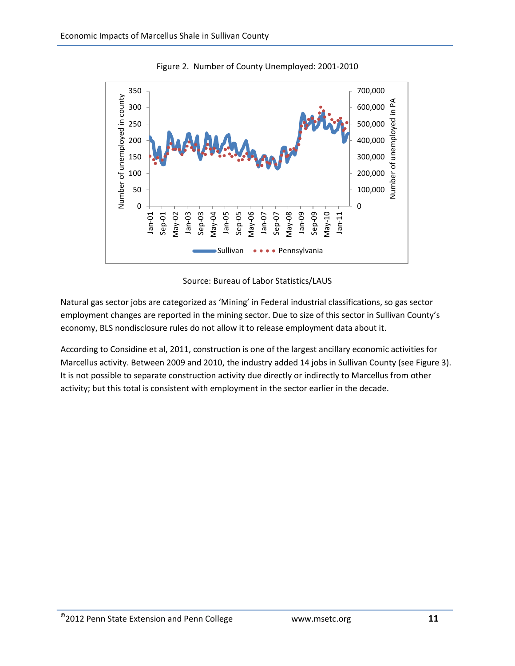

Figure 2. Number of County Unemployed: 2001-2010



Natural gas sector jobs are categorized as 'Mining' in Federal industrial classifications, so gas sector employment changes are reported in the mining sector. Due to size of this sector in Sullivan County's economy, BLS nondisclosure rules do not allow it to release employment data about it.

According to Considine et al, 2011, construction is one of the largest ancillary economic activities for Marcellus activity. Between 2009 and 2010, the industry added 14 jobs in Sullivan County (see Figure 3). It is not possible to separate construction activity due directly or indirectly to Marcellus from other activity; but this total is consistent with employment in the sector earlier in the decade.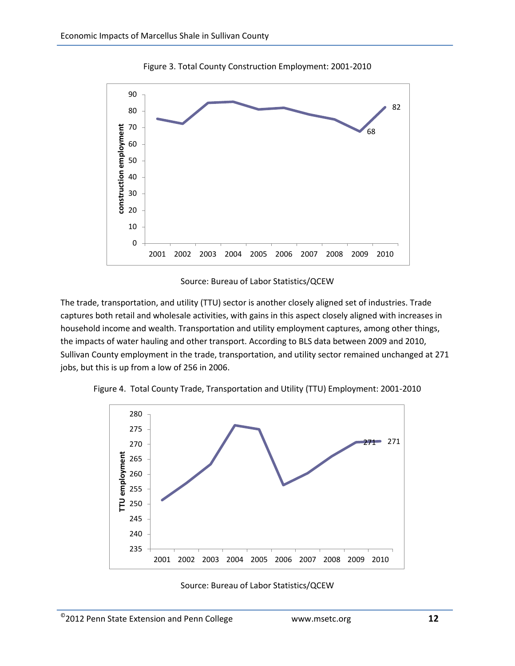

Figure 3. Total County Construction Employment: 2001-2010



The trade, transportation, and utility (TTU) sector is another closely aligned set of industries. Trade captures both retail and wholesale activities, with gains in this aspect closely aligned with increases in household income and wealth. Transportation and utility employment captures, among other things, the impacts of water hauling and other transport. According to BLS data between 2009 and 2010, Sullivan County employment in the trade, transportation, and utility sector remained unchanged at 271 jobs, but this is up from a low of 256 in 2006.





Source: Bureau of Labor Statistics/QCEW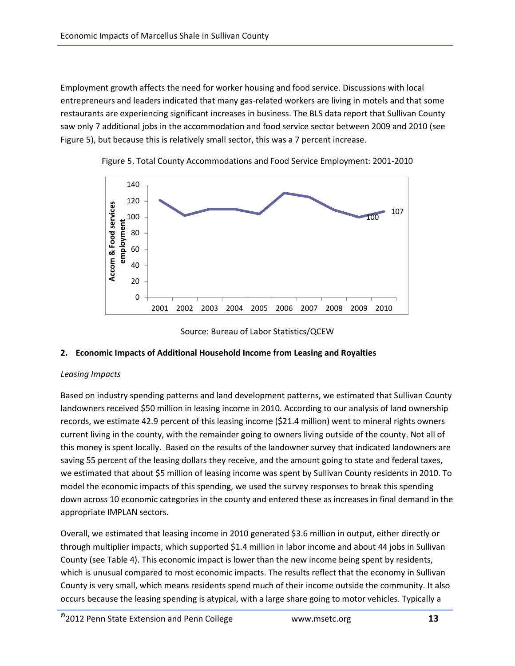Employment growth affects the need for worker housing and food service. Discussions with local entrepreneurs and leaders indicated that many gas-related workers are living in motels and that some restaurants are experiencing significant increases in business. The BLS data report that Sullivan County saw only 7 additional jobs in the accommodation and food service sector between 2009 and 2010 (see Figure 5), but because this is relatively small sector, this was a 7 percent increase.





Source: Bureau of Labor Statistics/QCEW

#### **2. Economic Impacts of Additional Household Income from Leasing and Royalties**

#### *Leasing Impacts*

Based on industry spending patterns and land development patterns, we estimated that Sullivan County landowners received \$50 million in leasing income in 2010. According to our analysis of land ownership records, we estimate 42.9 percent of this leasing income (\$21.4 million) went to mineral rights owners current living in the county, with the remainder going to owners living outside of the county. Not all of this money is spent locally. Based on the results of the landowner survey that indicated landowners are saving 55 percent of the leasing dollars they receive, and the amount going to state and federal taxes, we estimated that about \$5 million of leasing income was spent by Sullivan County residents in 2010. To model the economic impacts of this spending, we used the survey responses to break this spending down across 10 economic categories in the county and entered these as increases in final demand in the appropriate IMPLAN sectors.

Overall, we estimated that leasing income in 2010 generated \$3.6 million in output, either directly or through multiplier impacts, which supported \$1.4 million in labor income and about 44 jobs in Sullivan County (see Table 4). This economic impact is lower than the new income being spent by residents, which is unusual compared to most economic impacts. The results reflect that the economy in Sullivan County is very small, which means residents spend much of their income outside the community. It also occurs because the leasing spending is atypical, with a large share going to motor vehicles. Typically a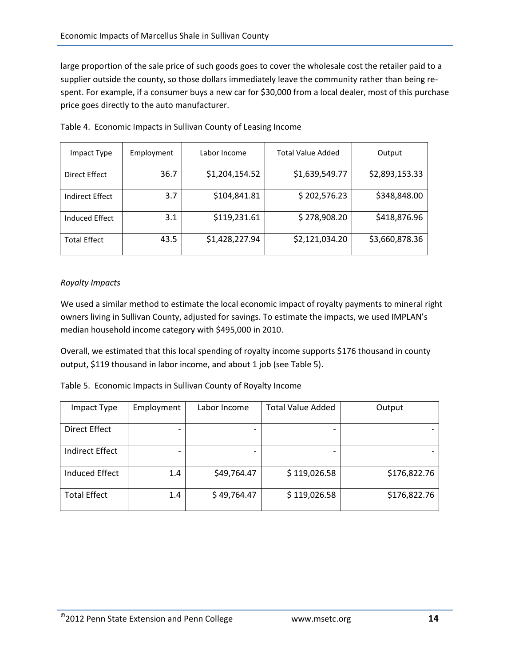large proportion of the sale price of such goods goes to cover the wholesale cost the retailer paid to a supplier outside the county, so those dollars immediately leave the community rather than being respent. For example, if a consumer buys a new car for \$30,000 from a local dealer, most of this purchase price goes directly to the auto manufacturer.

| Impact Type         | Employment | Labor Income   | <b>Total Value Added</b> | Output         |
|---------------------|------------|----------------|--------------------------|----------------|
| Direct Effect       | 36.7       | \$1,204,154.52 | \$1,639,549.77           | \$2,893,153.33 |
| Indirect Effect     | 3.7        | \$104,841.81   | \$202,576.23             | \$348,848.00   |
| Induced Effect      | 3.1        | \$119,231.61   | \$278,908.20             | \$418,876.96   |
| <b>Total Effect</b> | 43.5       | \$1,428,227.94 | \$2,121,034.20           | \$3,660,878.36 |

Table 4. Economic Impacts in Sullivan County of Leasing Income

#### *Royalty Impacts*

We used a similar method to estimate the local economic impact of royalty payments to mineral right owners living in Sullivan County, adjusted for savings. To estimate the impacts, we used IMPLAN's median household income category with \$495,000 in 2010.

Overall, we estimated that this local spending of royalty income supports \$176 thousand in county output, \$119 thousand in labor income, and about 1 job (see Table 5).

| Table 5. Economic Impacts in Sullivan County of Royalty Income |
|----------------------------------------------------------------|
|----------------------------------------------------------------|

| Impact Type           | Employment | Labor Income             | <b>Total Value Added</b> | Output       |
|-----------------------|------------|--------------------------|--------------------------|--------------|
| Direct Effect         |            | $\overline{\phantom{0}}$ |                          |              |
| Indirect Effect       |            |                          |                          |              |
| <b>Induced Effect</b> | 1.4        | \$49,764.47              | \$119,026.58             | \$176,822.76 |
| <b>Total Effect</b>   | 1.4        | \$49,764.47              | \$119,026.58             | \$176,822.76 |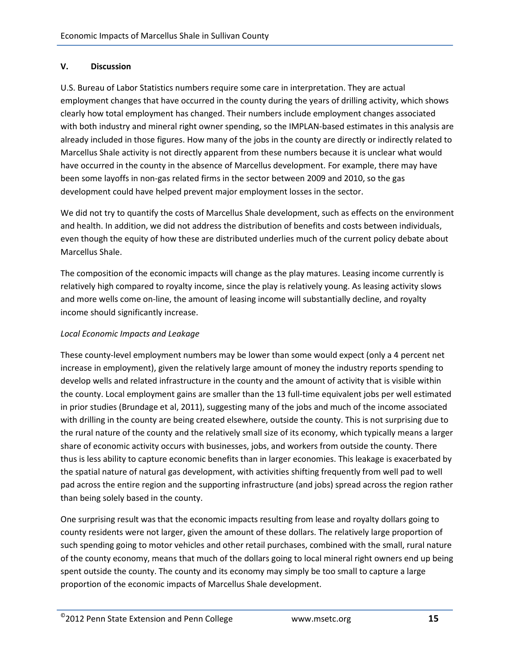#### **V. Discussion**

U.S. Bureau of Labor Statistics numbers require some care in interpretation. They are actual employment changes that have occurred in the county during the years of drilling activity, which shows clearly how total employment has changed. Their numbers include employment changes associated with both industry and mineral right owner spending, so the IMPLAN-based estimates in this analysis are already included in those figures. How many of the jobs in the county are directly or indirectly related to Marcellus Shale activity is not directly apparent from these numbers because it is unclear what would have occurred in the county in the absence of Marcellus development. For example, there may have been some layoffs in non-gas related firms in the sector between 2009 and 2010, so the gas development could have helped prevent major employment losses in the sector.

We did not try to quantify the costs of Marcellus Shale development, such as effects on the environment and health. In addition, we did not address the distribution of benefits and costs between individuals, even though the equity of how these are distributed underlies much of the current policy debate about Marcellus Shale.

The composition of the economic impacts will change as the play matures. Leasing income currently is relatively high compared to royalty income, since the play is relatively young. As leasing activity slows and more wells come on-line, the amount of leasing income will substantially decline, and royalty income should significantly increase.

#### *Local Economic Impacts and Leakage*

These county-level employment numbers may be lower than some would expect (only a 4 percent net increase in employment), given the relatively large amount of money the industry reports spending to develop wells and related infrastructure in the county and the amount of activity that is visible within the county. Local employment gains are smaller than the 13 full-time equivalent jobs per well estimated in prior studies (Brundage et al, 2011), suggesting many of the jobs and much of the income associated with drilling in the county are being created elsewhere, outside the county. This is not surprising due to the rural nature of the county and the relatively small size of its economy, which typically means a larger share of economic activity occurs with businesses, jobs, and workers from outside the county. There thus is less ability to capture economic benefits than in larger economies. This leakage is exacerbated by the spatial nature of natural gas development, with activities shifting frequently from well pad to well pad across the entire region and the supporting infrastructure (and jobs) spread across the region rather than being solely based in the county.

One surprising result was that the economic impacts resulting from lease and royalty dollars going to county residents were not larger, given the amount of these dollars. The relatively large proportion of such spending going to motor vehicles and other retail purchases, combined with the small, rural nature of the county economy, means that much of the dollars going to local mineral right owners end up being spent outside the county. The county and its economy may simply be too small to capture a large proportion of the economic impacts of Marcellus Shale development.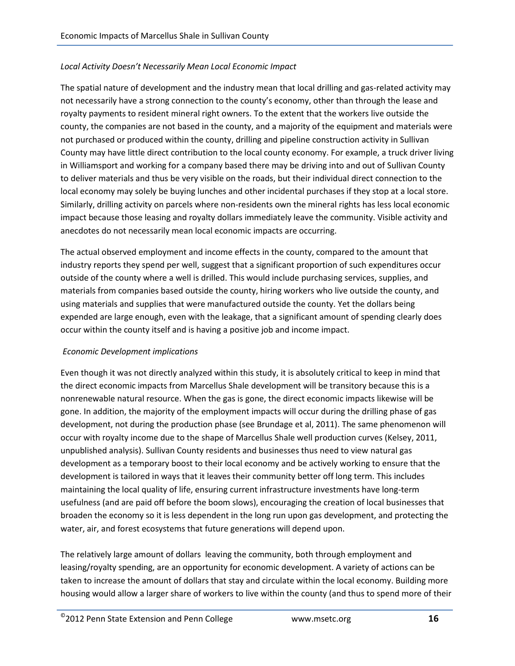#### *Local Activity Doesn't Necessarily Mean Local Economic Impact*

The spatial nature of development and the industry mean that local drilling and gas-related activity may not necessarily have a strong connection to the county's economy, other than through the lease and royalty payments to resident mineral right owners. To the extent that the workers live outside the county, the companies are not based in the county, and a majority of the equipment and materials were not purchased or produced within the county, drilling and pipeline construction activity in Sullivan County may have little direct contribution to the local county economy. For example, a truck driver living in Williamsport and working for a company based there may be driving into and out of Sullivan County to deliver materials and thus be very visible on the roads, but their individual direct connection to the local economy may solely be buying lunches and other incidental purchases if they stop at a local store. Similarly, drilling activity on parcels where non-residents own the mineral rights has less local economic impact because those leasing and royalty dollars immediately leave the community. Visible activity and anecdotes do not necessarily mean local economic impacts are occurring.

The actual observed employment and income effects in the county, compared to the amount that industry reports they spend per well, suggest that a significant proportion of such expenditures occur outside of the county where a well is drilled. This would include purchasing services, supplies, and materials from companies based outside the county, hiring workers who live outside the county, and using materials and supplies that were manufactured outside the county. Yet the dollars being expended are large enough, even with the leakage, that a significant amount of spending clearly does occur within the county itself and is having a positive job and income impact.

#### *Economic Development implications*

Even though it was not directly analyzed within this study, it is absolutely critical to keep in mind that the direct economic impacts from Marcellus Shale development will be transitory because this is a nonrenewable natural resource. When the gas is gone, the direct economic impacts likewise will be gone. In addition, the majority of the employment impacts will occur during the drilling phase of gas development, not during the production phase (see Brundage et al, 2011). The same phenomenon will occur with royalty income due to the shape of Marcellus Shale well production curves (Kelsey, 2011, unpublished analysis). Sullivan County residents and businesses thus need to view natural gas development as a temporary boost to their local economy and be actively working to ensure that the development is tailored in ways that it leaves their community better off long term. This includes maintaining the local quality of life, ensuring current infrastructure investments have long-term usefulness (and are paid off before the boom slows), encouraging the creation of local businesses that broaden the economy so it is less dependent in the long run upon gas development, and protecting the water, air, and forest ecosystems that future generations will depend upon.

The relatively large amount of dollars leaving the community, both through employment and leasing/royalty spending, are an opportunity for economic development. A variety of actions can be taken to increase the amount of dollars that stay and circulate within the local economy. Building more housing would allow a larger share of workers to live within the county (and thus to spend more of their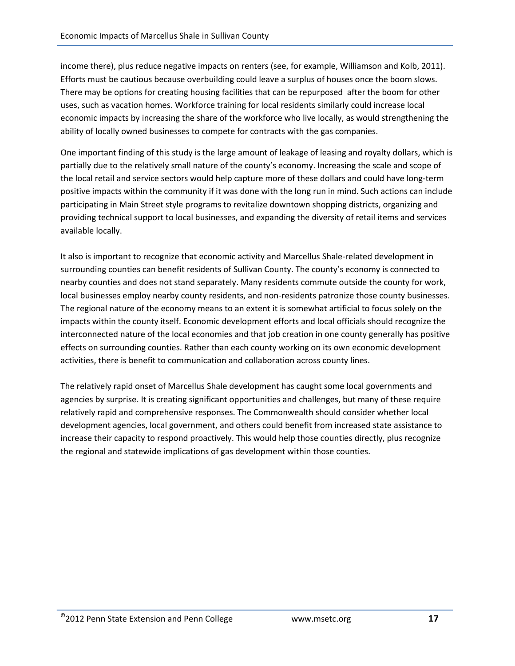income there), plus reduce negative impacts on renters (see, for example, Williamson and Kolb, 2011). Efforts must be cautious because overbuilding could leave a surplus of houses once the boom slows. There may be options for creating housing facilities that can be repurposed after the boom for other uses, such as vacation homes. Workforce training for local residents similarly could increase local economic impacts by increasing the share of the workforce who live locally, as would strengthening the ability of locally owned businesses to compete for contracts with the gas companies.

One important finding of this study is the large amount of leakage of leasing and royalty dollars, which is partially due to the relatively small nature of the county's economy. Increasing the scale and scope of the local retail and service sectors would help capture more of these dollars and could have long-term positive impacts within the community if it was done with the long run in mind. Such actions can include participating in Main Street style programs to revitalize downtown shopping districts, organizing and providing technical support to local businesses, and expanding the diversity of retail items and services available locally.

It also is important to recognize that economic activity and Marcellus Shale-related development in surrounding counties can benefit residents of Sullivan County. The county's economy is connected to nearby counties and does not stand separately. Many residents commute outside the county for work, local businesses employ nearby county residents, and non-residents patronize those county businesses. The regional nature of the economy means to an extent it is somewhat artificial to focus solely on the impacts within the county itself. Economic development efforts and local officials should recognize the interconnected nature of the local economies and that job creation in one county generally has positive effects on surrounding counties. Rather than each county working on its own economic development activities, there is benefit to communication and collaboration across county lines.

The relatively rapid onset of Marcellus Shale development has caught some local governments and agencies by surprise. It is creating significant opportunities and challenges, but many of these require relatively rapid and comprehensive responses. The Commonwealth should consider whether local development agencies, local government, and others could benefit from increased state assistance to increase their capacity to respond proactively. This would help those counties directly, plus recognize the regional and statewide implications of gas development within those counties.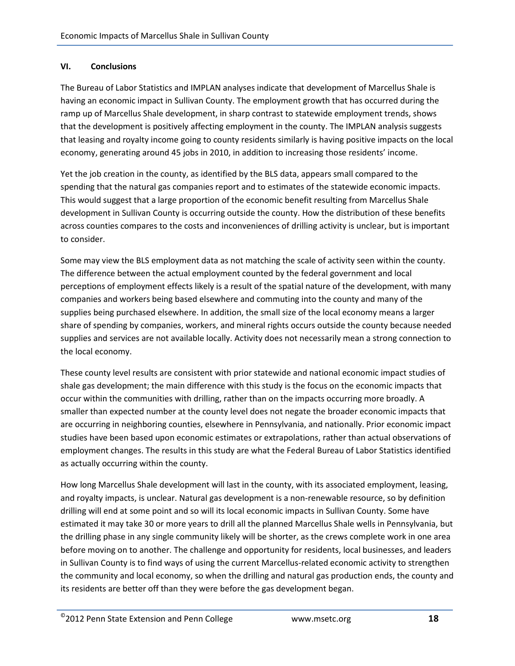#### **VI. Conclusions**

The Bureau of Labor Statistics and IMPLAN analyses indicate that development of Marcellus Shale is having an economic impact in Sullivan County. The employment growth that has occurred during the ramp up of Marcellus Shale development, in sharp contrast to statewide employment trends, shows that the development is positively affecting employment in the county. The IMPLAN analysis suggests that leasing and royalty income going to county residents similarly is having positive impacts on the local economy, generating around 45 jobs in 2010, in addition to increasing those residents' income.

Yet the job creation in the county, as identified by the BLS data, appears small compared to the spending that the natural gas companies report and to estimates of the statewide economic impacts. This would suggest that a large proportion of the economic benefit resulting from Marcellus Shale development in Sullivan County is occurring outside the county. How the distribution of these benefits across counties compares to the costs and inconveniences of drilling activity is unclear, but is important to consider.

Some may view the BLS employment data as not matching the scale of activity seen within the county. The difference between the actual employment counted by the federal government and local perceptions of employment effects likely is a result of the spatial nature of the development, with many companies and workers being based elsewhere and commuting into the county and many of the supplies being purchased elsewhere. In addition, the small size of the local economy means a larger share of spending by companies, workers, and mineral rights occurs outside the county because needed supplies and services are not available locally. Activity does not necessarily mean a strong connection to the local economy.

These county level results are consistent with prior statewide and national economic impact studies of shale gas development; the main difference with this study is the focus on the economic impacts that occur within the communities with drilling, rather than on the impacts occurring more broadly. A smaller than expected number at the county level does not negate the broader economic impacts that are occurring in neighboring counties, elsewhere in Pennsylvania, and nationally. Prior economic impact studies have been based upon economic estimates or extrapolations, rather than actual observations of employment changes. The results in this study are what the Federal Bureau of Labor Statistics identified as actually occurring within the county.

How long Marcellus Shale development will last in the county, with its associated employment, leasing, and royalty impacts, is unclear. Natural gas development is a non-renewable resource, so by definition drilling will end at some point and so will its local economic impacts in Sullivan County. Some have estimated it may take 30 or more years to drill all the planned Marcellus Shale wells in Pennsylvania, but the drilling phase in any single community likely will be shorter, as the crews complete work in one area before moving on to another. The challenge and opportunity for residents, local businesses, and leaders in Sullivan County is to find ways of using the current Marcellus-related economic activity to strengthen the community and local economy, so when the drilling and natural gas production ends, the county and its residents are better off than they were before the gas development began.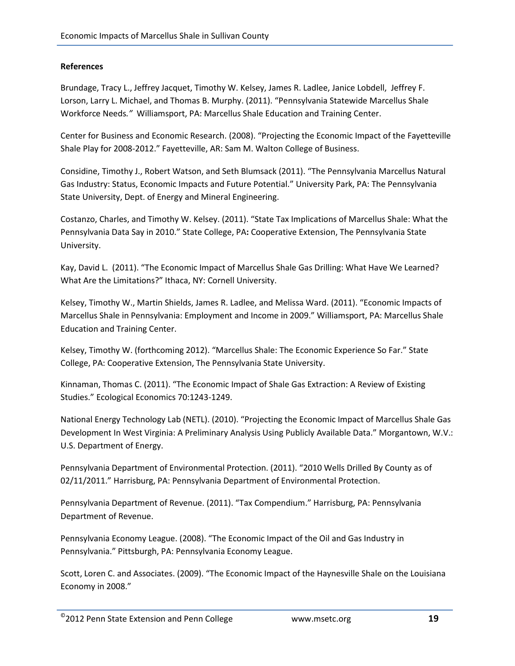#### **References**

Brundage, Tracy L., Jeffrey Jacquet, Timothy W. Kelsey, James R. Ladlee, Janice Lobdell, Jeffrey F. Lorson, Larry L. Michael, and Thomas B. Murphy. (2011). "Pennsylvania Statewide Marcellus Shale Workforce Needs*."* Williamsport, PA: Marcellus Shale Education and Training Center.

Center for Business and Economic Research. (2008). "Projecting the Economic Impact of the Fayetteville Shale Play for 2008-2012." Fayetteville, AR: Sam M. Walton College of Business.

Considine, Timothy J., Robert Watson, and Seth Blumsack (2011). "The Pennsylvania Marcellus Natural Gas Industry: Status, Economic Impacts and Future Potential." University Park, PA: The Pennsylvania State University, Dept. of Energy and Mineral Engineering.

Costanzo, Charles, and Timothy W. Kelsey. (2011). "State Tax Implications of Marcellus Shale: What the Pennsylvania Data Say in 2010." State College, PA**:** Cooperative Extension, The Pennsylvania State University.

Kay, David L. (2011). "The Economic Impact of Marcellus Shale Gas Drilling: What Have We Learned? What Are the Limitations?" Ithaca, NY: Cornell University.

Kelsey, Timothy W., Martin Shields, James R. Ladlee, and Melissa Ward. (2011). "Economic Impacts of Marcellus Shale in Pennsylvania: Employment and Income in 2009." Williamsport, PA: Marcellus Shale Education and Training Center.

Kelsey, Timothy W. (forthcoming 2012). "Marcellus Shale: The Economic Experience So Far." State College, PA: Cooperative Extension, The Pennsylvania State University.

Kinnaman, Thomas C. (2011). "The Economic Impact of Shale Gas Extraction: A Review of Existing Studies." Ecological Economics 70:1243-1249.

National Energy Technology Lab (NETL). (2010). "Projecting the Economic Impact of Marcellus Shale Gas Development In West Virginia: A Preliminary Analysis Using Publicly Available Data." Morgantown, W.V.: U.S. Department of Energy.

Pennsylvania Department of Environmental Protection. (2011). "2010 Wells Drilled By County as of 02/11/2011." Harrisburg, PA: Pennsylvania Department of Environmental Protection.

Pennsylvania Department of Revenue. (2011). "Tax Compendium." Harrisburg, PA: Pennsylvania Department of Revenue.

Pennsylvania Economy League. (2008). "The Economic Impact of the Oil and Gas Industry in Pennsylvania." Pittsburgh, PA: Pennsylvania Economy League.

Scott, Loren C. and Associates. (2009). "The Economic Impact of the Haynesville Shale on the Louisiana Economy in 2008."